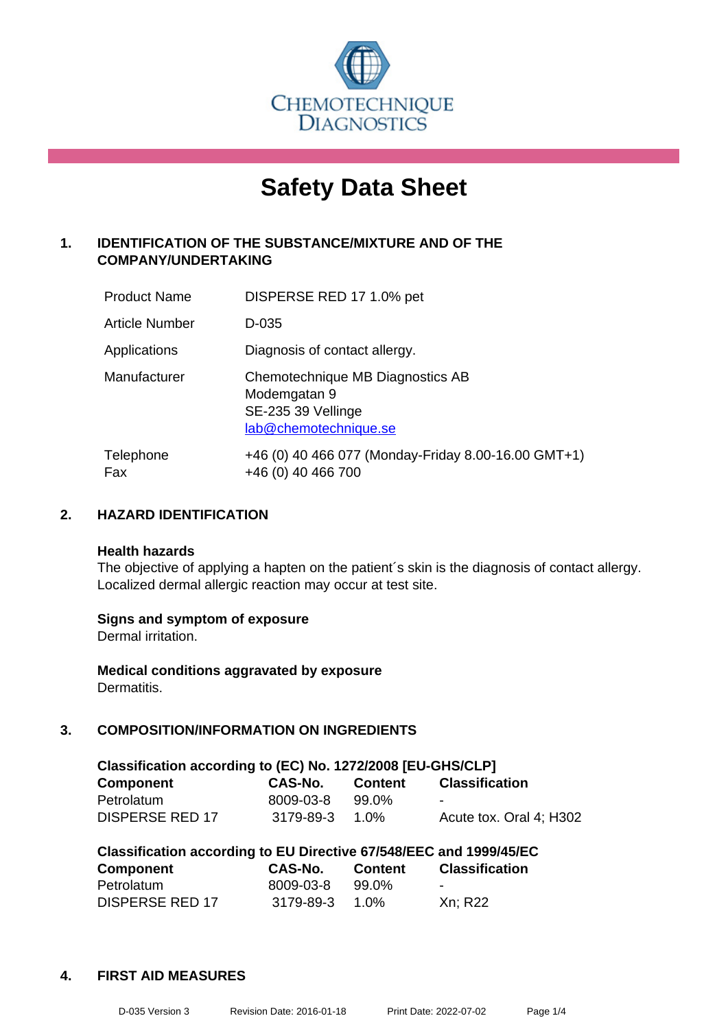

# **Safety Data Sheet**

# **1. IDENTIFICATION OF THE SUBSTANCE/MIXTURE AND OF THE COMPANY/UNDERTAKING**

| <b>Product Name</b>   | DISPERSE RED 17 1.0% pet                                                                        |
|-----------------------|-------------------------------------------------------------------------------------------------|
| <b>Article Number</b> | D-035                                                                                           |
| Applications          | Diagnosis of contact allergy.                                                                   |
| Manufacturer          | Chemotechnique MB Diagnostics AB<br>Modemgatan 9<br>SE-235 39 Vellinge<br>lab@chemotechnique.se |
| Telephone<br>Fax      | +46 (0) 40 466 077 (Monday-Friday 8.00-16.00 GMT+1)<br>+46 (0) 40 466 700                       |

# **2. HAZARD IDENTIFICATION**

#### **Health hazards**

The objective of applying a hapten on the patient's skin is the diagnosis of contact allergy. Localized dermal allergic reaction may occur at test site.

#### **Signs and symptom of exposure**

Dermal irritation.

**Medical conditions aggravated by exposure** Dermatitis.

# **3. COMPOSITION/INFORMATION ON INGREDIENTS**

| Classification according to (EC) No. 1272/2008 [EU-GHS/CLP] |           |         |                         |  |  |
|-------------------------------------------------------------|-----------|---------|-------------------------|--|--|
| <b>Component</b>                                            | CAS-No.   | Content | <b>Classification</b>   |  |  |
| Petrolatum                                                  | 8009-03-8 | 99.0%   | -                       |  |  |
| <b>DISPERSE RED 17</b>                                      | 3179-89-3 | 1.0%    | Acute tox. Oral 4: H302 |  |  |

| Classification according to EU Directive 67/548/EEC and 1999/45/EC |           |                |                       |  |
|--------------------------------------------------------------------|-----------|----------------|-----------------------|--|
| Component                                                          | CAS-No.   | <b>Content</b> | <b>Classification</b> |  |
| Petrolatum                                                         | 8009-03-8 | 99.0%          | -                     |  |
| <b>DISPERSE RED 17</b>                                             | 3179-89-3 | 1.0%           | Xn: R22               |  |

#### **4. FIRST AID MEASURES**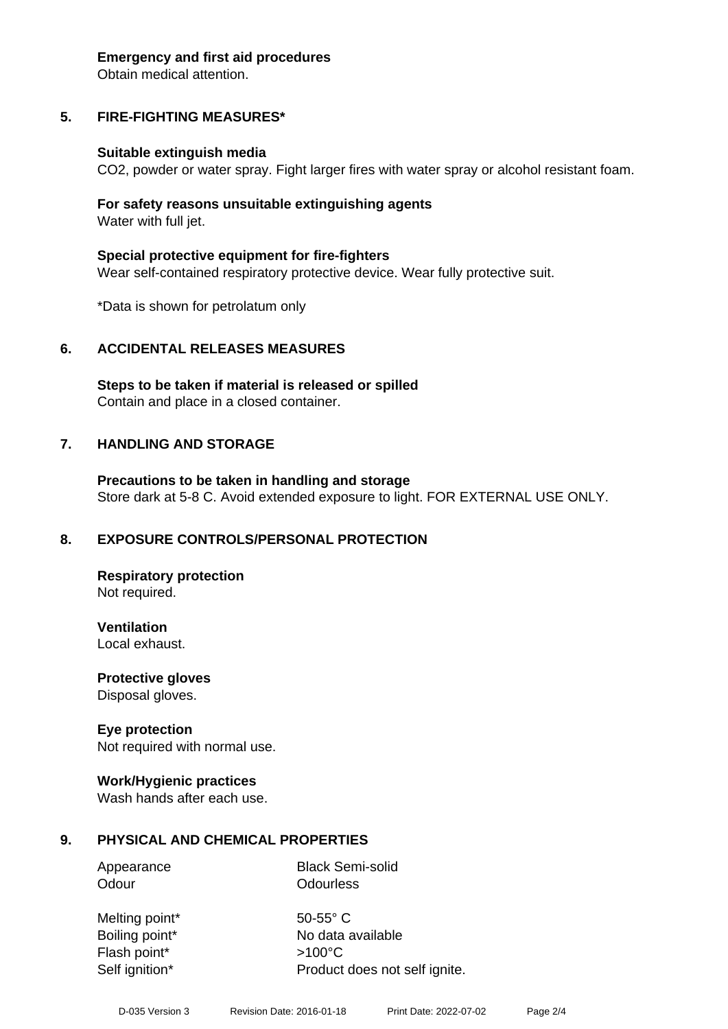#### **Emergency and first aid procedures**

Obtain medical attention.

# **5. FIRE-FIGHTING MEASURES\***

#### **Suitable extinguish media**

CO2, powder or water spray. Fight larger fires with water spray or alcohol resistant foam.

#### **For safety reasons unsuitable extinguishing agents** Water with full jet.

**Special protective equipment for fire-fighters** Wear self-contained respiratory protective device. Wear fully protective suit.

\*Data is shown for petrolatum only

#### **6. ACCIDENTAL RELEASES MEASURES**

**Steps to be taken if material is released or spilled** Contain and place in a closed container.

#### **7. HANDLING AND STORAGE**

**Precautions to be taken in handling and storage** Store dark at 5-8 C. Avoid extended exposure to light. FOR EXTERNAL USE ONLY.

#### **8. EXPOSURE CONTROLS/PERSONAL PROTECTION**

**Respiratory protection** Not required.

**Ventilation**

Local exhaust.

**Protective gloves** Disposal gloves.

#### **Eye protection**

Not required with normal use.

#### **Work/Hygienic practices**

Wash hands after each use.

#### **9. PHYSICAL AND CHEMICAL PROPERTIES**

Appearance Black Semi-solid Odour **Odourless** 

Melting point\* 50-55° C Flash point\* >100°C

Boiling point\* No data available Self ignition\* Product does not self ignite.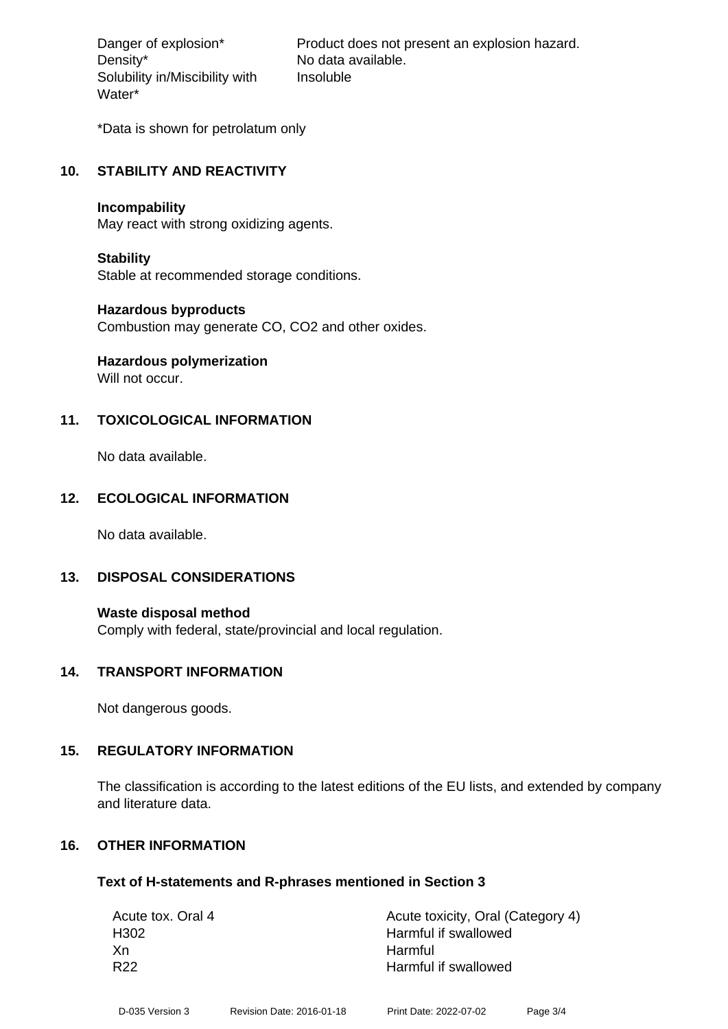Density\* No data available. Solubility in/Miscibility with Water\*

Danger of explosion\* Product does not present an explosion hazard. Insoluble

\*Data is shown for petrolatum only

#### **10. STABILITY AND REACTIVITY**

#### **Incompability**

May react with strong oxidizing agents.

#### **Stability**

Stable at recommended storage conditions.

#### **Hazardous byproducts**

Combustion may generate CO, CO2 and other oxides.

# **Hazardous polymerization**

Will not occur.

# **11. TOXICOLOGICAL INFORMATION**

No data available.

#### **12. ECOLOGICAL INFORMATION**

No data available.

#### **13. DISPOSAL CONSIDERATIONS**

**Waste disposal method** Comply with federal, state/provincial and local regulation.

#### **14. TRANSPORT INFORMATION**

Not dangerous goods.

#### **15. REGULATORY INFORMATION**

The classification is according to the latest editions of the EU lists, and extended by company and literature data.

#### **16. OTHER INFORMATION**

#### **Text of H-statements and R-phrases mentioned in Section 3**

| Acute tox. Oral 4 | Acute toxicity, Oral (Category 4) |
|-------------------|-----------------------------------|
| H <sub>302</sub>  | Harmful if swallowed              |
| Xn                | Harmful                           |
| R <sub>22</sub>   | Harmful if swallowed              |
|                   |                                   |